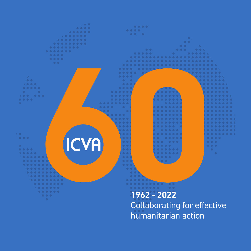

humanitarian action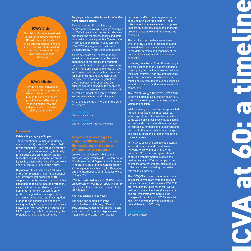### **ICVA's Vision**

The vision of the International Council of Voluntary Agencies (ICVA) is a world in which crisis-affected populations are effectively protected, assisted, and enabled to rebuild their lives and livelihoods with dignity.

#### **ICVA's Mission**

ICVA is a global network of non-governmental organizations whose mission is to make humanitarian action more principled and effective by working collectively and independently to influence policy and practice.

### **Foreword**

#### **Celebrating a legacy of impact.**

The International Council of Voluntary Agencies (ICVA) turned 60 in March 2022. It was founded in 1962 through a merger of three organizations working tirelessly for refugees and on migration issues. Since then, building cooperation on these issues has been at the heart of ICVA's work and will continue to be in the future.

Beginning with 60 members, ICVA was one of the first mechanisms for international non-governmental organization (NGO) cooperation. In the ensuing decades, it has expanded its focus to include protection, security, information sharing, UN and humanitarian reform, accountability, protection against sexual exploitation and abuse, complaints and investigation, humanitarian financing and capacity strengthening. It has grown into a diverse network of 140 NGOs, with an outreach of 8,000, operating in 160 countries at global, regional, national and local levels.

#### **Forging a collaborative future for effective humanitarian action.**

Throughout our 60<sup>th</sup> anniversary commemoration, we will highlight examples of ICVA's impact over the past six decades and thank the members, donors and staff who make our work possible. The next step in our evolution begins in 2022 with the ICVA 2030 strategy – which will root us more deeply in our vision and mission.

As we celebrate our legacy of impact, we will continue to examine the critical challenges of the future and redouble our commitment to making humanitarian action more principled and effective. ICVA will forever seek to promote and advocate for human rights and a humanitarian perspective in national, regional and global debates and responses. Our success will be defined by the degree to which we can grow together as a network, deliver an impact for people in crisis, and remain relevant and principled.

All of this is so much more than the sum of its parts.

Chair of ICVA Board Chair of ICVA at 60 Steering Committee

### **60 years of advocating as a collective NGO body to improve the quality and effectiveness of humanitarian response!**

We were established in 1962 as the successor organization of the Conference on Non-Governmental Organizations interested in Migration, the Standing Conference for Voluntary Agencies Working for Refugees, and the International Committee for World Refugee Year.

ICVA is constituted today of 140 NGOs, with an outreach to 8,000 NGOs, operating in 160 countries with an estimated income of over USD 20 billion.

A lot has changed in 60 years.

The scale and complexity of the humanitarian work is very different to the 60s. Globally, humanitarian crises – such as armed conflict, forced displacement, natural disasters and major disease

outbreaks – affect more people today than at any point in recorded history. These crises have immense acute and long-term impacts on hundreds of millions of people, predominantly in low and middle-income countries.

The results over the decades achieved by staff of NGO and of other national and international organizations are a credit to the determination and capability of the humanitarian system and to those who support it.

However, the effects of the climate change and the response to the current pandemic have highlighted the fundamental cracks in the global system. It has brought inequality within and between countries into sharp relief, and severely tested our resilience as individuals, nations and as an international community.

The ICVA Strategy 2022 - 2030 (ICVA 2030), is the next step in our evolution as an NGO community, rooting us more deeply in our vision and mission.

While retaining our rootedness in principled humanitarian action we must take full advantage of our collective diversity, the value we all bring, our proximity to people in crises and our collaborative advantage to increase our impact; and to confront and respond to the impact of climate change and take our responsibilities in mitigating the root causes.

For ICVA to grow and achieve its potential we need to evolve and transform our network to grow and deliver the full potential. More than an organizational shift, this transformation is about the position we want ICVA to occupy in the sector for greatest impact, affirming our collective values and being clear what this means in practice.

The ICVA@60 commemoration events are an opportunity to learn from the past and make sure the aspirations in our ICVA2030 are 'evolutionary' in so much that we will build upon some directions already started and are 'transformative' because the changes will result in an ICVA Secretariat and ICVA network that works and feels quite different to ICVA today.

Executive Director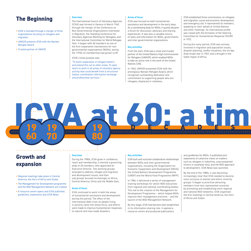# **The Beginning Density Change Service**

- **•** ICVA is founded through a merger of three organizations focusing on refugees and migration
- **•** UNHCR presents ICVA with the Nansen Refugee Award
- **•** Trusted partner of UNHCR

The International Council of Voluntary Agencies (ICVA) was formed in Geneva in March 1962 through the merger of the Conference on Non-Governmental Organizations interested in Migration, the Standing Conference for Voluntary Agencies Working for Refugees, and the International Committee for World Refugee Year. It began with 60 members as one of the first cooperation mechanisms for nongovernmental organizations (NGOs), and by the 1970s its membership had grown to 87.

ICVA's initial purpose was:

*"To build cooperation in refugee matters and extend this out to other areas. To open doors to work in all areas of voluntary agency activity that could benefit from a structured liaison, coordination information exchange and professional services."*

#### **Areas of focus**

ICVA was focused on both humanitarian assistance and development in the early days. As a coordinating body for NGOs, it quickly became a forum for discussion, advocacy and sharing experiences. It was also a valuable source of news and information for NGOs, governments and inter-governmental organizations.

#### **Key activities**

From the start, ICVA was a close and trusted partner of the United Nations High Commissioner for Refugees (UNHCR), which enabled NGOs to take an active role in the work of the United Nations (UN).

In 1963, UNHCR presented ICVA with the prestigious Nansen Refugee Award, which recognises outstanding dedication and commitment to supporting people who are refugees, displaced or stateless.

ICVA established three commissions, on refugees and migration, social and economic development, and emergency aid. It represented its members, speaking on their behalf at United Nations and other meetings. Its international profile was raised with the formation of the Steering Committee for Humanitarian Response (SCHR) in 1972.

During this early period, ICVA was actively involved in migration and population issues, disaster planning, conflict situations, the six-day Arab-Israeli war in 1967, and a drought in the Sahel region of Africa.

# **Growth and expansion**

**19**

**19**

**70**

**60**

- **•** Regional meetings take place in Central America, the Horn of Africa and Sudan
- **•** The Management for Development programme and the NGO Management Network are created
- **•** A resource centre opens and ICVA publishes guidelines, statements and ICVA News

#### **Overview**

. . . . . . . . . .

During the 1980s, ICVA grew in confidence, reach and membership. It elected a governing body of 20 members, who appointed an Executive Director. Two working groups emerged to address refugee and migration and development issues, and their sub-groups focused increasingly on Africa, Central America, China and the Middle East.

**19**

**80**

#### **Areas of focus**

ICVA continued to work in both the areas of humanitarian assistance and development during this period. The effect of the international debt crisis on people living in poverty came into sharp focus, and efforts were made to improve humanitarian responses to natural and man-made disasters.

#### **Key activities**

ICVA built and nurtured collaborative relationships between NGOs and inter-governmental organizations, including the Organization for Economic Cooperation and Development (OECD), the United Nations Development Programme (UNDP) and the World Food Programme (WFP).

In 1984, it delivered a series of management training workshops for senior NGO executives from regional and national coordinating bodies. This led to the creation of the Management for Development Programme – which helped NGOs improve their management practices – and the launch of the NGO Management Network.

By this stage, ICVA had become well established in its information-sharing role. It opened a resource centre and produced publications

and guidelines for NGOs. It published joint statements of collective views on matters such as refugees in Indochina, unaccompanied minors in southeast Asia, and the NGO approach to development. ICVA News was launched.

**DECADES** 

By the end of the 1980s, it was becoming increasingly clear that ICVA needed to become more inclusive of women and ethnic minority groups. It began to prioritise attracting members from less represented countries by promoting and establishing more regional and national NGO networks. ICVA organised the first meetings in Central America, the Horn of Africa and Sudan.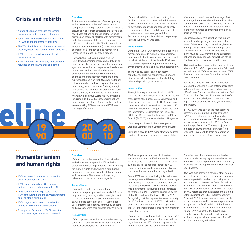### **Crisis and rebirth**  $\frac{1}{2}$  Overview

- **•** A Code of Conduct emerges concerning humanitarian aid in disaster situations
- **•** ICVA undertakes NGO coordination activities in Rwanda and the former Yugoslavia
- **•** The World Aid '96 exhibition ends in financial disaster, triggering a revaluation of ICVAs focus
- **•** ICVA reassesses its development and humanitarian focus
- **•** A streamlined ICVA emerges, refocusing on refugees and the humanitarian agenda

As the new decade dawned, ICVA was playing an important role in the NGO sector. It was recognised as a unique global forum for NGOs to discuss opinions, share strategies and information, coordinate actions and forge partnerships. It provided an essential interface with governmental and inter-governmental bodies, enabling NGOs to participate in UNHCR's Partnership in Action Programme (PARinAC). ICVA generated an income of \$1 million and its membership increased to almost 100 organizations.

However, the 1990s did not end well for ICVA. It was becoming increasingly difficult to simultaneously pursue the two often conflicting agendas: humanitarian response and assistance on the one hand and social and economic development on the other. Disagreements and tensions built between members. Some expressed the opinion that ICVA was no longer relevant as a humanitarian organization, while others suggested that it wasn't doing enough to progress the development agenda. To make matters worse, ICVA invested heavily in the financially disastrous World Aid '96 exhibition, incurring a CHF 350,000 loss. Recriminations flew from all directions. Some members left to join competing NGO networks and ICVA was on the verge of closure.

ICVA survived this crisis by reinventing itself for the 21<sup>st</sup> century as a streamlined, forwardthinking humanitarian organization. It dropped its development agenda and focused entirely on supporting refugees and displaced people. It restructured itself, reorganised the Secretariat, and put a financial rescue package in place. A new ICVA was born.

#### **Areas of focus**

During the 1990s, ICVA continued to support its members to provide humanitarian assistance to people affected by conflict and disaster. Until its rebirth at the end of the decade, ICVA was also promoting the development of economic, environmental, social and cultural sustainability.

There was collaboration on advocacy, constituency building, capacity building, and other external challenges, such as building relationships with governments.

#### **Key activities**

Through its unique relationship with UNHCR, ICVA and members advocate for better protection of the rights of refugees, stateless persons, and other persons of concerns at UNHCR meetings. It was also a vital liaison facilitator between NGOs and inter-governmental organizations, including the International Organization for Migration (IOM), the World Bank, the Economic and Social Council (ECOSOC) and several other UN agencies.

ICVA also participated in the Inter-Agency Standing Committee (IASC) from 1993 onwards.

During this decade, ICVA made efforts to address gender balance and equity in the representation

of women in committees and meetings. ICVA encouraged members elected to the Executive Committee (EXCOM) to be represented by women at least half of the time, and it established a standing committee on integrating women in decision-making.

Geographically, ICVA's attention was mainly on what was happening in Bosnia and other parts of the former Yugoslavia through offices in Belgrade, Sarajevo, Tuzla and Banja Luka. The humanitarian crisis in Rwanda was also a priority, and ICVA promoted and supported national and regional NGO networks in Africa, South Asia, Central America and Lebanon.

ICVA produced numerous publications, including a handbook for NGO cooperation at the field level. Its main journal ICVA News was renamed ICVA Forum – it later became On the Record and in 1999 Talk Back.

For the first time in 1996, the ICVA mission statement mentioned a Code of Conduct relating to humanitarian aid in disaster situations, the 1994 Code of Conduct for the International Red Cross and Red Crescent Movement and NGOs in disaster relief, designed to maintain the high standards of independence, effectiveness and impact.

In 1997 ICVA was part of the management committee to set up the Sphere Project in 1997, which defined a humanitarian charter and minimum standards of NGOs interventions in disaster response. And in 1999, the Reach out Refugee Protection Training project was initiated by NGOs and the Red Cross/Red Crescent Movement, to train humanitarian staff in the basics of refugee protection.

# **Humanitarianism and human rights**

**19**

**90**

- **•** ICVA increases it attention on protection, security and human rights
- **•** ICVA works to build an NGO community and increase interactions with the UN
- **•** 2005 sees multiple large scale crises: Hurricane Katrina, the Indian Ocean tsunami and Pakistan's earthquake
- **•** ICVA plays a major role in the selection of a new UNHCR High Commissioner
- **•** Principles of Partnership (PoP) forms the basis of inter-agency humanitarian work

#### **Overview**

**20**

**00**

ICVA arrived in the new millennium refreshed and with a clear purpose. Its 2003 mission statement focused on promoting and advocating for human rights and bringing a field-based humanitarian perspective into global debates and responses. There was no longer any reference to the development agenda.

**20**

**10**

#### **Areas of focus**

ICVA worked tirelessly to strengthen humanitarian principles and standards. It focused on protection, security and human rights, and the interface between NGOs and the military, all within the context of post 11 September 2011. Information-sharing, community-building and advocacy were core aspects of ICVA's work.

#### **Key activities**

ICVA supported humanitarian activities in many countries around the world, including Kosovo, Indonesia, Darfur, Uganda and Myanmar.

2005 was a year of catastrophic disasters. Hurricane Katrina, the Kashmir earthquake in Pakistan, and the tsunami in the Indian Ocean all highlighted the need for increased NGO capacity and improved coordination between the UN and other humanitarian organizations.

One of ICVA's objectives during this period was to strengthen the NGO community and encourage inter-agency collaboration that would improve the quality of NGO work. The ICVA Secretariat was instrumental in developing the Principles of Partnership (PoP) initiative, endorsed by the Global Humanitarian Platform (GHP) in 2007. Recognising that this represented an opportunity for NGO voices to be heard, ICVA produced a publication entitled Ten Practical Ways to Use the PoP and incorporated it into its new member application process.

ICVA persevered with its efforts to facilitate NGO access to UN agencies and other international organizations. In 2005, ICVA was given a role in the selection process of any new UNHCR

Commissioner. It also became involved on several levels in shaping humanitarian reform at the UN – including benchmarking, standards, financing, and the appointment of Humanitarian Coordinators.

ICVA was also active in a range of other notable areas. It formed a task force on protection from sexual exploitation and abuse in refugee camps and continued to develop its Code of Conduct for humanitarian workers. In partnership with the Norwegian Refugee Council (NRC), it created an NGO reference group. It hosted the Building Safer Organizations (BSO) initiative between 2004 and 2007 to support agencies implementing proper complaints and investigation procedures. It supported the 2004 revision of the Sphere Handbook with a greater emphasis on human rights. ICVA was part of the Saving Lives Together oversight committee, a framework for improving security arrangements for NGOs and the UN working in the field.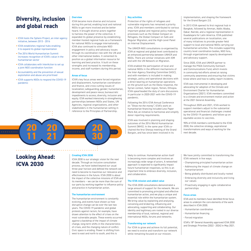# **Diversity, inclusion and global reach**

- **•** ICVA hosts the Sphere Project, an inter-agency initiative, between 2013 - 2016
- **•** ICVA establishes regional hubs enabling it to expand its global representation
- **•** The 2016 World Humanitarian Summit increases recognition of ICVA's value in the humanitarian sector
- **•** ICVA collaborates with InterAction to set up a joint NGO coordination function
- **•** Accountability and the prevention of sexual exploitation and abuse are prioritised
- **•** ICVA supports NGOs to respond the COVID-19 pandemic

**20**

**21**

#### **Overview**

ICVA became more diverse and inclusive during this period, enabling local and national NGOs to get more involved and be better heard. It brought diverse actors together to harness the power of the collective. It expanded its global presence by establishing member-hosted regional hubs as a framework for national NGOs to engage internationally. ICVA also continued to stimulate NGO engagement in policy and advocacy issues through its coordination role with the UN and other international bodies. It cemented its position as a global information resource for learning and best practice. It built on these strengths and increased its membership, income, and staff numbers during this period.

#### **Areas of focus**

ICVA's key focus areas were forced migration and displacement, humanitarian coordination and finance, and cross-cutting issues of localization; safeguarding; gender; humanitarian, development and peace nexus; bureaucratic impediments to access; diversity, inclusion and equity. ICVA worked intensively in strengthening partnerships between NGOs and States, UN Agencies, regional organizations, and other stakeholders in the humanitarian setting in reference to the Principles of Partnership.

**20**

 $\ddotsc$ 

**30**

#### **Key activities**

Protection of the rights of refugees and vulnerable migrants has remained a priority area. ICVA and members contributed to various important global and regional policy making processes such as the Global Compact on Refugees, the Global Compact on Safe and Regular Migration, and the High-Level Panel on Internal Displacement.

The UNHCR-NGO consultations co-organised by ICVA at regional and global level contributed to an enhanced partnership between UNHCR and NGOs. There are similar initiatives with IOM and with the UN Network on Migration.

ICVA enabled the participation of local and national NGOs in the different mechanisms of the Inter-Agency Standing Committee (IASC), and with members is included in making strategic, policy and operational decisions with a direct bearing on humanitarian operations on the ground such as the Ebola response, the Syrian context, Sahel region, Yemen, Ethiopia. ICVA spearheaded the duty of care discussions in particular in 2020-2021 with the COVID-19 pandemic.

Following the 2014 ICVA Annual Conference on "Show me the money", ICVA's work on humanitarian financing included Less Paper More Aid, an initiative to harmonise and simplify donor reporting requirements.

ICVA was involved in planning and shaping outcomes of the 2016 World Humanitarian Summit (WHS). In the same year ICVA cochaired the first Sherpa meeting of the Grand Bargain, and has since been involved in its

implementation, and shaping the framework for the Grand Bargain 2.0.

In 2013 ICVA opened its first regional hub in Bangkok, followed by Amman, Addis Ababa, Dakar, Nairobi, and a regional representation in Guadalajara for Latin America. ICVA published several publications on localization, one of many initiatives to provide greater field support to local and national NGOs carrying out humanitarian activities. This includes supporting country level coordination bodies, NGO fora, through organizational capacity development and advocacy support.

Since 2020, ICVA and UNHCR partner to manage the PSEA Community Outreach and Communications Fund, which invests in community-led efforts aimed at raising community awareness and ensuring that victims know where and how to safely report incidents.

ICVA was instrumental in developing and advocating for adoption of the Climate and Environment Charter for Humanitarian Organizations (2021). ICVA members committed to a climate and environment motion and action at the 2021 General Assembly.

Throughout 2020 and 2021, ICVA worked to support members adjust to the substantial operational and financial challenges created by the COVID-19 pandemic and follow up on equitable access to vaccines.

90% of ICVA members contributed to the ICVA 2030, the collective strategy, aspirational transformations and ways of working for the next decade.

## **Looking Ahead: ICVA 2030**

**20**

**11**

#### **Creating ICVA 2030**

. . . . . . . . . .

ICVA 2030 is our strategic vision for the next decade. Through an inclusive consultation process, we have looked beyond our usual three-year horizon and defined the network we need to become to maximise our relevance and effectiveness in the future. ICVA 2030 is about the impact of the collective missions of ICVA and its members – we can be more than the sum of our parts by working together to influence policy and practice in humanitarian action.

#### **The humanitarian environment**

The humanitarian environment is constantly evolving, and events have shown us how disruptive change can be over the last two years. The COVID-19 pandemic and global protests against racism, for example, have drawn attention to the effect of crises on the most vulnerable people. These events occurred against a backdrop of the impact of climate change, long-term shifts in the characteristics of crises, and the changing nature of conflict. Civic space is eroding. Power is shifting from west to east and north to south, and this is

likely to continue. Humanitarian action itself is becoming more complex and involves an increasingly wide range of actors. A networked approach is expected to significantly impact future humanitarian responses, so this is an important time to embrace diversity, inclusion, and collaboration.

#### **The ICVA mission and added value**

The ICVA 2030 consultations demonstrated a large amount of support for the network. We are committed to promoting principled and effective humanitarian action, and we play a unique and essential role within the humanitarian system. We bring value by explaining and analysing, convening and brokering, influencing and advocating, supporting and collaborating. Our identity and legitimacy are rooted in our diverse membership of local, national, regional and international NGOs, forums and networks.

#### **Transforming our network**

For ICVA to grow and achieve its full potential, we need to evolve and transform our network while remaining focused on our mission.

We have jointly committed to transforming the ICVA network in five ways:

- Championing principled humanitarian action
- Addressing the impact of climate change on humanitarianism
- Being globally distributed and locally rooted
- Embracing diversity and inclusivity and living our values
- Proactively engaging in agile collaborative partnerships

#### **Focus areas**

ICVA and its members have identified three focus areas to underpin the core elements of the work described in ICVA 2030.

- Humanitarian coordination
- Humanitarian financing
- Forced migration

ICVA's 18th General Assembly approved ICVA 2030 and Strategic Priorities (2022 - 2024) in May 2021.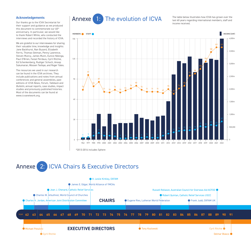#### **Acknowledgements**

Our thanks go to the ICVA Secretariat for their support and guidance as we produced this document to commemorate our 60<sup>th</sup> anniversary. In particular, we would like to thank Robert White, who conducted the interviews and recorded the history of ICVA.

We are grateful to our interviewees for sharing their valuable time, knowledge and insights: Jane Backhurst, Nan Buzard, Elizabeth Ferris, Thomas Getman, Penny Lawrence, Steven Muncy, James Munn, Eunice Ndonga, Paul O'Brien, Faizal Perdaus, Cyril Ritchie, Ed Schenkenberg, Rudiger Schoch, Anoop Sukumaran, Wossen Tesfaye, and Roger Yates.

The resources we used in our research can be found in the ICVA archives. They include publications and notes from annual conferences and general assemblies, past editions of ICVA News, Forum, Talkback and Bulletin, annual reports, case studies, impact studies and previously published histories. Most of the documents can be found at www.icvanetwork.org.

# Annexe 1: The evolution of ICVA

The table below illustrates how ICVA has grown over the last 60 years regarding international members, staff and income received.



\*2013-2016 includes Sphere

# Annexe 2: ICVA Chairs & Executive Directors

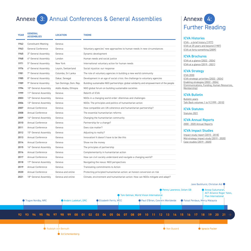# Annexe 3: Annual Conferences & General Assemblies

| <b>YEAR</b> | <b>GENERAL</b><br><b>ASSEMBLIES</b> | <b>LOCATION</b>        | <b>THEME</b>                                                                           |  |  |  |  |  |
|-------------|-------------------------------------|------------------------|----------------------------------------------------------------------------------------|--|--|--|--|--|
| 1962        | <b>Constituent Meeting</b>          | Geneva                 |                                                                                        |  |  |  |  |  |
| 1963        | General Conference                  | Geneva                 | Voluntary agencies' new approaches to human needs in new circumstances                 |  |  |  |  |  |
| 1965        | 3 <sup>th</sup> General Assembly    | Geneva                 | Dynamic development                                                                    |  |  |  |  |  |
| 1968        | 4 <sup>th</sup> General Assembly    | London                 | Human needs and social justice                                                         |  |  |  |  |  |
| 1971        | 5 <sup>th</sup> General Assembly    | New York               | International voluntary action for human needs                                         |  |  |  |  |  |
| 1976        | 6 <sup>th</sup> General Assembly    | Leysin, Switzerland    | Social injustice: our response                                                         |  |  |  |  |  |
| 1981        | 7 <sup>th</sup> General Assembly    | Colombo, Sri Lanka     | The role of voluntary agencies in building a new world community                       |  |  |  |  |  |
| 1985        | 8 <sup>th</sup> General Assembly    | Dakar, Senegal         | Development in an age of social crisis: the challenge to voluntary agencies            |  |  |  |  |  |
| 1989        | 9 <sup>th</sup> General Assembly    | San Domingo, Dom. Rep. | Building sustainable NGO partnerships: global solidarity and empowerment of the people |  |  |  |  |  |
| 1994        | 10 <sup>th</sup> General Assembly   | Addis Ababa, Ethiopia  | NGO global forum on building sustainable societies                                     |  |  |  |  |  |
| 1999        | 11 <sup>th</sup> General Assembly   | Geneva                 | Rebirth of ICVA                                                                        |  |  |  |  |  |
| 2003        | 12 <sup>th</sup> General Assembly   | Geneva                 | NGOs in a changing world order: dilemmas and challenges                                |  |  |  |  |  |
| 2006        | 13 <sup>th</sup> General Assembly   | Geneva                 | NGOs: The principles and politics of humanitarian action                               |  |  |  |  |  |
| 2007        | Annual Conference                   | Geneva                 | How compatible are UN coherence and humanitarian partnership?                          |  |  |  |  |  |
| 2008        | Annual Conference                   | Geneva                 | The essential humanitarian reforms                                                     |  |  |  |  |  |
| 2009        | 14th General Assembly               | Geneva                 | Changing the humanitarian community                                                    |  |  |  |  |  |
| 2010        | <b>Annual Conference</b>            | Geneva                 | Partnership for a change?                                                              |  |  |  |  |  |
| 2011        | Annual Conference                   | Geneva                 | Does size matter?                                                                      |  |  |  |  |  |
| 2012        | 15 <sup>th</sup> General Assembly   | Geneva                 | Adjusting to reality?                                                                  |  |  |  |  |  |
| 2013        | <b>Annual Conference</b>            | Geneva                 | Innovation! It doesn't have to be like this                                            |  |  |  |  |  |
| 2014        | Annual Conference                   | Geneva                 | Show me the money                                                                      |  |  |  |  |  |
| 2015        | 16 <sup>th</sup> General Assembly   | Geneva                 | The principles of partnership                                                          |  |  |  |  |  |
| 2016        | <b>Annual Conference</b>            | Geneva                 | Complementarity in humanitarian action                                                 |  |  |  |  |  |
| 2017        | Annual Conference                   | Geneva                 | How can civil society understand and navigate a changing world?                        |  |  |  |  |  |
| 2018        | 17th General Assembly               | Geneva                 | Navigating the nexus: NGO perspectives                                                 |  |  |  |  |  |
| 2019        | Annual Conference                   | Geneva                 | Translating commitments to Action                                                      |  |  |  |  |  |
| 2020        | <b>Annual Conference</b>            | Geneva and online      | Protecting principled humanitarian action: an honest conversion on risk                |  |  |  |  |  |
| 2021        | 18th General Assembly               | Geneva and online      | Climate, environment and humanitarian action: How can NGOs mitigate and adapt?         |  |  |  |  |  |

# Annexe 4: Further Reading

#### ICVA Histories

[ICVA – a brief history \(1977\)](https://www.icvanetwork.org/resource/a-brief-history-of-icva-published-in-1977/) [ICVA at 25 years and beyond \(1987\)](https://www.icvanetwork.org/resource/icva-at-twenty-five/) [ICVA at forty-something \(2009\)](https://www.icvanetwork.org/resource/icva-at-forty-something/)

#### ICVA Brochures

[ICVA at a glance \(2022 - 2024\)](https://www.icvanetwork.org/search/) [ICVA at a glance \(2019 - 2021\)](https://www.icvanetwork.org/resource/icva-at-a-glance/)

#### ICVA Strategy

[ICVA 2030](https://www.icvanetwork.org/resource/icva-2030-strategy/) [ICVA strategic priorities \(2022 - 2024\)](https://www.icvanetwork.org/resource/strategic-priorities-2022-2024/) [Enabling strategies \(2022 - 2024\)](https://www.icvanetwork.org/resource/icva-enabling-strategies/)  [\(Communications, Funding, Human Resources,](https://www.icvanetwork.org/resource/icva-enabling-strategies/)  [Membership\)](https://www.icvanetwork.org/resource/icva-enabling-strategies/)

ICVA Bulletin [Bulletin years](https://www.icvanetwork.org/resource/icva-bulletin/) [Talk Back volumes 1 to 9 \(1999 - 2010\)](https://www.icvanetwork.org/resource/talk-back/)

ICVA Statutes [Statutes 2021](https://www.icvanetwork.org/resource/icva-statutes-2021-2/)

ICVA Annual Reports [2000 - 2020 Annual Reports](https://www.icvanetwork.org/about-icva/icva-annual-reports/)

#### ICVA Impact Studies

[Impact study report \(2015 - 2018\)](https://www.icvanetwork.org/resource/2015-2018-impact-study-report/) [Mid-strategy impact study \(2019 - 2020\)](https://www.icvanetwork.org/resource/2019-2020-mid-strategy-impact-study/) [Case studies \(2019 - 2020\)](https://www.icvanetwork.org/resource/impact-study-2019-2021/)